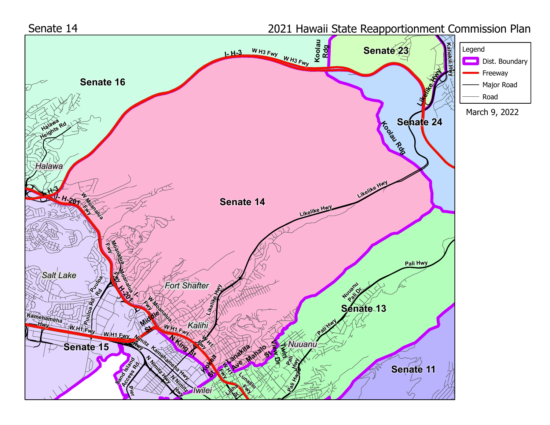